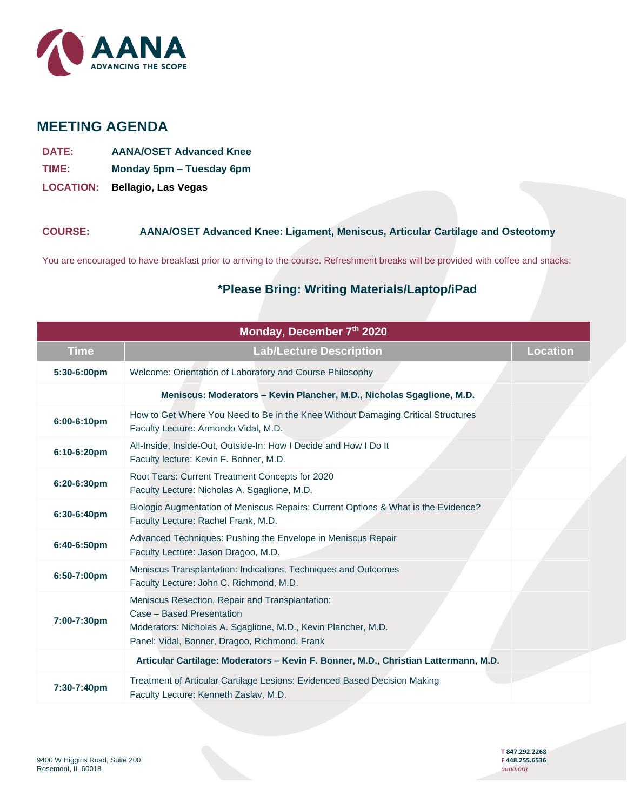

# **MEETING AGENDA**

- **DATE: AANA/OSET Advanced Knee**
- **TIME: Monday 5pm – Tuesday 6pm**
- **LOCATION: Bellagio, Las Vegas**

#### **COURSE: AANA/OSET Advanced Knee: Ligament, Meniscus, Articular Cartilage and Osteotomy**

You are encouraged to have breakfast prior to arriving to the course. Refreshment breaks will be provided with coffee and snacks.

## **\*Please Bring: Writing Materials/Laptop/iPad**

| Monday, December 7th 2020 |                                                                                                                                                                                                |                 |  |  |
|---------------------------|------------------------------------------------------------------------------------------------------------------------------------------------------------------------------------------------|-----------------|--|--|
| <b>Time</b>               | <b>Lab/Lecture Description</b>                                                                                                                                                                 | <b>Location</b> |  |  |
| 5:30-6:00pm               | Welcome: Orientation of Laboratory and Course Philosophy                                                                                                                                       |                 |  |  |
|                           | Meniscus: Moderators - Kevin Plancher, M.D., Nicholas Sgaglione, M.D.                                                                                                                          |                 |  |  |
| 6:00-6:10pm               | How to Get Where You Need to Be in the Knee Without Damaging Critical Structures<br>Faculty Lecture: Armondo Vidal, M.D.                                                                       |                 |  |  |
| 6:10-6:20pm               | All-Inside, Inside-Out, Outside-In: How I Decide and How I Do It<br>Faculty lecture: Kevin F. Bonner, M.D.                                                                                     |                 |  |  |
| 6:20-6:30pm               | Root Tears: Current Treatment Concepts for 2020<br>Faculty Lecture: Nicholas A. Sgaglione, M.D.                                                                                                |                 |  |  |
| 6:30-6:40pm               | Biologic Augmentation of Meniscus Repairs: Current Options & What is the Evidence?<br>Faculty Lecture: Rachel Frank, M.D.                                                                      |                 |  |  |
| 6:40-6:50pm               | Advanced Techniques: Pushing the Envelope in Meniscus Repair<br>Faculty Lecture: Jason Dragoo, M.D.                                                                                            |                 |  |  |
| 6:50-7:00pm               | Meniscus Transplantation: Indications, Techniques and Outcomes<br>Faculty Lecture: John C. Richmond, M.D.                                                                                      |                 |  |  |
| 7:00-7:30pm               | Meniscus Resection, Repair and Transplantation:<br>Case - Based Presentation<br>Moderators: Nicholas A. Sgaglione, M.D., Kevin Plancher, M.D.<br>Panel: Vidal, Bonner, Dragoo, Richmond, Frank |                 |  |  |
|                           | Articular Cartilage: Moderators - Kevin F. Bonner, M.D., Christian Lattermann, M.D.                                                                                                            |                 |  |  |
| 7:30-7:40pm               | Treatment of Articular Cartilage Lesions: Evidenced Based Decision Making<br>Faculty Lecture: Kenneth Zaslav, M.D.                                                                             |                 |  |  |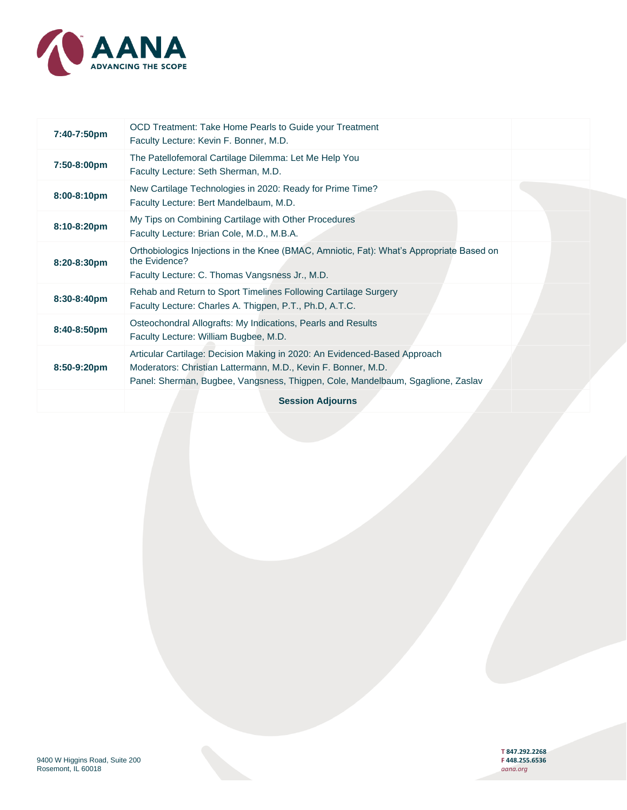

| 7:40-7:50pm      | OCD Treatment: Take Home Pearls to Guide your Treatment<br>Faculty Lecture: Kevin F. Bonner, M.D.                                                                                                                             |  |
|------------------|-------------------------------------------------------------------------------------------------------------------------------------------------------------------------------------------------------------------------------|--|
| 7:50-8:00pm      | The Patellofemoral Cartilage Dilemma: Let Me Help You<br>Faculty Lecture: Seth Sherman, M.D.                                                                                                                                  |  |
| $8:00 - 8:10$ pm | New Cartilage Technologies in 2020: Ready for Prime Time?<br>Faculty Lecture: Bert Mandelbaum, M.D.                                                                                                                           |  |
| $8:10-8:20$ pm   | My Tips on Combining Cartilage with Other Procedures<br>Faculty Lecture: Brian Cole, M.D., M.B.A.                                                                                                                             |  |
| 8:20-8:30pm      | Orthobiologics Injections in the Knee (BMAC, Amniotic, Fat): What's Appropriate Based on<br>the Evidence?<br>Faculty Lecture: C. Thomas Vangsness Jr., M.D.                                                                   |  |
| 8:30-8:40pm      | Rehab and Return to Sport Timelines Following Cartilage Surgery<br>Faculty Lecture: Charles A. Thigpen, P.T., Ph.D, A.T.C.                                                                                                    |  |
| 8:40-8:50pm      | Osteochondral Allografts: My Indications, Pearls and Results<br>Faculty Lecture: William Bugbee, M.D.                                                                                                                         |  |
| 8:50-9:20pm      | Articular Cartilage: Decision Making in 2020: An Evidenced-Based Approach<br>Moderators: Christian Lattermann, M.D., Kevin F. Bonner, M.D.<br>Panel: Sherman, Bugbee, Vangsness, Thigpen, Cole, Mandelbaum, Sgaglione, Zaslav |  |
|                  | <b>Session Adjourns</b>                                                                                                                                                                                                       |  |

**T 847.292.2268**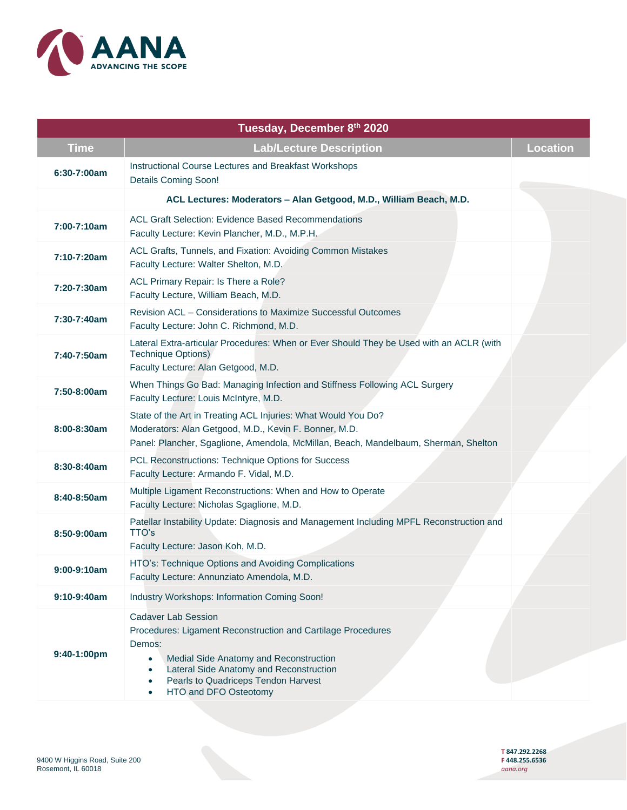

| Tuesday, December 8th 2020 |                                                                                                                                                                                                                                                                                                               |                 |  |  |
|----------------------------|---------------------------------------------------------------------------------------------------------------------------------------------------------------------------------------------------------------------------------------------------------------------------------------------------------------|-----------------|--|--|
| <b>Time</b>                | <b>Lab/Lecture Description</b>                                                                                                                                                                                                                                                                                | <b>Location</b> |  |  |
| $6:30 - 7:00$ am           | Instructional Course Lectures and Breakfast Workshops<br><b>Details Coming Soon!</b>                                                                                                                                                                                                                          |                 |  |  |
|                            | ACL Lectures: Moderators - Alan Getgood, M.D., William Beach, M.D.                                                                                                                                                                                                                                            |                 |  |  |
| 7:00-7:10am                | <b>ACL Graft Selection: Evidence Based Recommendations</b><br>Faculty Lecture: Kevin Plancher, M.D., M.P.H.                                                                                                                                                                                                   |                 |  |  |
| 7:10-7:20am                | ACL Grafts, Tunnels, and Fixation: Avoiding Common Mistakes<br>Faculty Lecture: Walter Shelton, M.D.                                                                                                                                                                                                          |                 |  |  |
| 7:20-7:30am                | ACL Primary Repair: Is There a Role?<br>Faculty Lecture, William Beach, M.D.                                                                                                                                                                                                                                  |                 |  |  |
| 7:30-7:40am                | Revision ACL - Considerations to Maximize Successful Outcomes<br>Faculty Lecture: John C. Richmond, M.D.                                                                                                                                                                                                      |                 |  |  |
| 7:40-7:50am                | Lateral Extra-articular Procedures: When or Ever Should They be Used with an ACLR (with<br><b>Technique Options)</b><br>Faculty Lecture: Alan Getgood, M.D.                                                                                                                                                   |                 |  |  |
| 7:50-8:00am                | When Things Go Bad: Managing Infection and Stiffness Following ACL Surgery<br>Faculty Lecture: Louis McIntyre, M.D.                                                                                                                                                                                           |                 |  |  |
| 8:00-8:30am                | State of the Art in Treating ACL Injuries: What Would You Do?<br>Moderators: Alan Getgood, M.D., Kevin F. Bonner, M.D.<br>Panel: Plancher, Sgaglione, Amendola, McMillan, Beach, Mandelbaum, Sherman, Shelton                                                                                                 |                 |  |  |
| 8:30-8:40am                | PCL Reconstructions: Technique Options for Success<br>Faculty Lecture: Armando F. Vidal, M.D.                                                                                                                                                                                                                 |                 |  |  |
| 8:40-8:50am                | Multiple Ligament Reconstructions: When and How to Operate<br>Faculty Lecture: Nicholas Sgaglione, M.D.                                                                                                                                                                                                       |                 |  |  |
| 8:50-9:00am                | Patellar Instability Update: Diagnosis and Management Including MPFL Reconstruction and<br>TTO's<br>Faculty Lecture: Jason Koh, M.D.                                                                                                                                                                          |                 |  |  |
| 9:00-9:10am                | HTO's: Technique Options and Avoiding Complications<br>Faculty Lecture: Annunziato Amendola, M.D.                                                                                                                                                                                                             |                 |  |  |
| $9:10-9:40am$              | Industry Workshops: Information Coming Soon!                                                                                                                                                                                                                                                                  |                 |  |  |
| 9:40-1:00pm                | <b>Cadaver Lab Session</b><br>Procedures: Ligament Reconstruction and Cartilage Procedures<br>Demos:<br>Medial Side Anatomy and Reconstruction<br>$\bullet$<br>Lateral Side Anatomy and Reconstruction<br>$\bullet$<br>Pearls to Quadriceps Tendon Harvest<br>$\bullet$<br>HTO and DFO Osteotomy<br>$\bullet$ |                 |  |  |

**T 847.292.2268**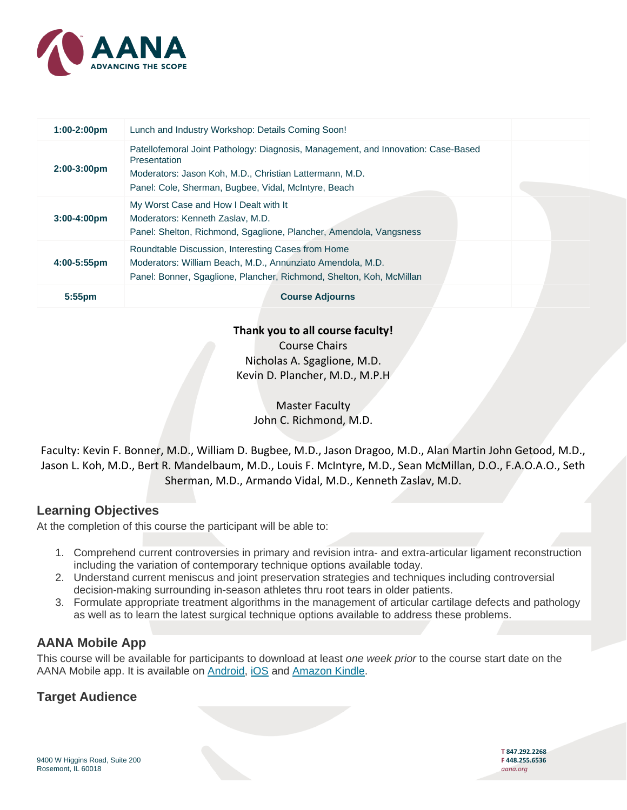

| $1:00-2:00$ pm          | Lunch and Industry Workshop: Details Coming Soon!                                                                                                                                                                           |  |
|-------------------------|-----------------------------------------------------------------------------------------------------------------------------------------------------------------------------------------------------------------------------|--|
| $2:00-3:00$ pm          | Patellofemoral Joint Pathology: Diagnosis, Management, and Innovation: Case-Based<br><b>Presentation</b><br>Moderators: Jason Koh, M.D., Christian Lattermann, M.D.<br>Panel: Cole, Sherman, Bugbee, Vidal, McIntyre, Beach |  |
| $3:00 - 4:00 \text{pm}$ | My Worst Case and How I Dealt with It<br>Moderators: Kenneth Zaslav, M.D.<br>Panel: Shelton, Richmond, Sgaglione, Plancher, Amendola, Vangsness                                                                             |  |
| 4:00-5:55pm             | Roundtable Discussion, Interesting Cases from Home<br>Moderators: William Beach, M.D., Annunziato Amendola, M.D.<br>Panel: Bonner, Sgaglione, Plancher, Richmond, Shelton, Koh, McMillan                                    |  |
| $5:55$ pm               | <b>Course Adjourns</b>                                                                                                                                                                                                      |  |

**Thank you to all course faculty!**

Course Chairs Nicholas A. Sgaglione, M.D. Kevin D. Plancher, M.D., M.P.H

> Master Faculty John C. Richmond, M.D.

Faculty: Kevin F. Bonner, M.D., William D. Bugbee, M.D., Jason Dragoo, M.D., Alan Martin John Getood, M.D., Jason L. Koh, M.D., Bert R. Mandelbaum, M.D., Louis F. McIntyre, M.D., Sean McMillan, D.O., F.A.O.A.O., Seth Sherman, M.D., Armando Vidal, M.D., Kenneth Zaslav, M.D.

## **Learning Objectives**

At the completion of this course the participant will be able to:

- 1. Comprehend current controversies in primary and revision intra- and extra-articular ligament reconstruction including the variation of contemporary technique options available today.
- 2. Understand current meniscus and joint preservation strategies and techniques including controversial decision-making surrounding in-season athletes thru root tears in older patients.
- 3. Formulate appropriate treatment algorithms in the management of articular cartilage defects and pathology as well as to learn the latest surgical technique options available to address these problems.

## **AANA Mobile App**

This course will be available for participants to download at least *one week prior* to the course start date on the AANA Mobile app. It is available on [Android,](https://play.google.com/store/apps/details?id=com.coreapps.android.followme.aanamobile&hl=en_US) [iOS](https://itunes.apple.com/us/app/aana-mobile/id1316174243?mt=8) and [Amazon Kindle.](https://www.amazon.com/Core-Apps-LLC-AANA-Mobile/dp/B07BM7FB39/ref=sr_1_1?s=mobile-apps&ie=UTF8&qid=1535651339&sr=1-1&keywords=aana+mobile)

## **Target Audience**